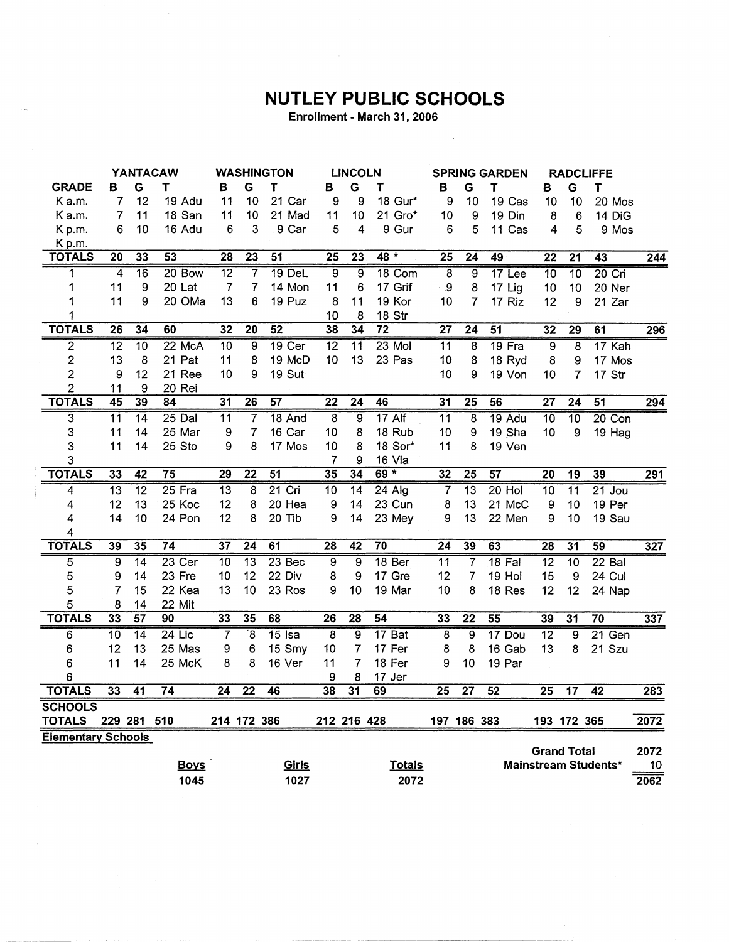## **NUTLEY PUBLIC SCHOOLS**

 $\sim$ 

Enrollment - March 31, 2006

 $\bar{\beta}$ 

|                           |                 |                 | <b>YANTACAW</b> |                 |                      | <b>WASHINGTON</b> |                 | <b>LINCOLN</b>  |                   | <b>SPRING GARDEN</b> |                     |                   | <b>RADCLIFFE</b> |                    |                             |                  |
|---------------------------|-----------------|-----------------|-----------------|-----------------|----------------------|-------------------|-----------------|-----------------|-------------------|----------------------|---------------------|-------------------|------------------|--------------------|-----------------------------|------------------|
| <b>GRADE</b>              | в               | G               | Т               | В               | G                    | $\mathbf T$       | в               | G               | Τ                 | в                    | G                   | T                 | в                | G                  | T                           |                  |
| Ka.m.                     | $\overline{7}$  | 12              | 19 Adu          | 11              | 10                   | 21 Car            | 9               | 9               | 18 Gur*           | 9                    | 10                  | 19 Cas            | 10               | 10                 | 20 Mos                      |                  |
| K a.m.                    | 7               | 11              | 18 San          | 11              | 10                   | 21 Mad            | 11              | 10              | 21 Gro*           | 10                   | 9                   | 19 Din            | 8                | 6                  | 14 DiG                      |                  |
| Kp.m.                     | 6               | 10              | 16 Adu          | 6               | 3                    | 9 Car             | 5               | 4               | 9 Gur             | 6                    | 5                   | 11 Cas            | 4                | 5                  | 9 Mos                       |                  |
| Kp.m.                     |                 |                 |                 |                 |                      |                   |                 |                 |                   |                      |                     |                   |                  |                    |                             |                  |
| <b>TOTALS</b>             | 20              | 33              | 53              | 28              | $\overline{23}$      | 51                | $\overline{25}$ | $\overline{23}$ | $48 *$            | 25                   | $\overline{24}$     | 49                | $\overline{22}$  | $\overline{21}$    | 43                          | $\overline{244}$ |
| 1                         | 4               | $\overline{16}$ | 20 Bow          | $\overline{12}$ | $\overline{7}$       | $19$ DeL          | $\overline{9}$  | ब्र             | 18 Com            | $\overline{8}$       | ब्र                 | 17 <sub>Lee</sub> | $\overline{10}$  | $\overline{10}$    | $20$ Cri                    |                  |
| 1                         | 11              | 9               | 20 Lat          | $\overline{7}$  | $\overline{7}$       | 14 Mon            | 11              | 6               | 17 Grif           | $\pmb{9}$            | 8                   | 17 Lig            | 10               | 10                 | 20 Ner                      |                  |
| 1                         | 11              | 9               | 20 OMa          | 13              | 6                    | 19 Puz            | 8               | 11              | 19 Kor            | 10                   | 7                   | 17 Riz            | 12               | 9                  | 21 Zar                      |                  |
| 1                         |                 |                 |                 |                 |                      |                   | 10              | 8               | 18 Str            |                      |                     |                   |                  |                    |                             |                  |
| <b>TOTALS</b>             | 26              | 34              | 60              | 32              | $\overline{20}$      | $\overline{52}$   | 38              | $\overline{34}$ | $\overline{72}$   | $\overline{27}$      | $\overline{24}$     | 51                | 32               | 29                 | 61                          | 296              |
| $\overline{2}$            | $\overline{12}$ | $\overline{10}$ | 22 McA          | $\overline{10}$ | 9                    | $19$ Cer          | $\overline{12}$ | 11              | $23$ Mol          | $\overline{11}$      | $\overline{\bf{8}}$ | $19$ Fra          | $\overline{9}$   | 8                  | 17 Kah                      |                  |
| $\overline{\mathbf{c}}$   | 13              | 8               | 21 Pat          | 11              | 8                    | 19 McD            | 10              | 13              | 23 Pas            | 10                   | 8                   | 18 Ryd            | 8                | 9                  | 17 Mos                      |                  |
| $\overline{c}$            | 9               | 12              | 21 Ree          | 10              | 9                    | 19 Sut            |                 |                 |                   | 10                   | 9                   | 19 Von            | 10               | 7                  | 17 Str                      |                  |
| $\overline{c}$            | 11              | 9               | 20 Rei          |                 |                      |                   |                 |                 |                   |                      |                     |                   |                  |                    |                             |                  |
| <b>TOTALS</b>             | 45              | 39              | 84              | $\overline{31}$ | 26                   | 57                | $\overline{22}$ | $\overline{24}$ | 46                | 31                   | $\overline{25}$     | 56                | $\overline{27}$  | $\overline{24}$    | 51                          | 294              |
| $\overline{3}$            | $\overline{11}$ | $\overline{14}$ | $25$ Dal        | $\overline{11}$ | $\overline{7}$       | 18 And            | $\overline{8}$  | 9               | 17 Alf            | $\overline{11}$      | 8                   | 19 Adu            | $\overline{10}$  | $\overline{10}$    | $20$ Con                    |                  |
| 3                         | 11              | 14              | 25 Mar          | 9               | 7                    | 16 Car            | 10              | 8               | 18 Rub            | 10                   | 9                   | 19 Sha            | 10               | 9                  | 19 Hag                      |                  |
| 3                         | 11              | 14              | 25 Sto          | 9               | 8                    | 17 Mos            | 10              | 8               | 18 Sor*           | 11                   | 8                   | 19 Ven            |                  |                    |                             |                  |
| 3                         |                 |                 |                 |                 |                      |                   | 7               | 9               | 16 Vla            |                      |                     |                   |                  |                    |                             |                  |
| <b>TOTALS</b>             | 33              | $\overline{42}$ | $\overline{75}$ | 29              | $\overline{22}$      | $\overline{51}$   | 35              | $\overline{34}$ | 69 *              | $\overline{32}$      | $\overline{25}$     | 57                | $\overline{20}$  | $\overline{19}$    | 39                          | $\overline{291}$ |
| 4                         | $\overline{13}$ | $\overline{12}$ | 25 Fra          | $\overline{13}$ | 8                    | $21$ Cri          | 10              | $\overline{14}$ | $24$ Alg          | 7                    | $\overline{13}$     | $20$ Hol          | 10               | $\overline{11}$    | $21$ Jou                    |                  |
| 4                         | 12              | 13              | 25 Koc          | 12              | 8                    | 20 Hea            | 9               | 14              | 23 Cun            | 8                    | 13                  | 21 McC            | 9                | 10                 | 19 Per                      |                  |
| 4                         | 14              | 10              | 24 Pon          | 12              | 8                    | 20 Tib            | 9               | 14              | 23 Mey            | 9                    | 13                  | 22 Men            | 9                | 10                 | 19 Sau                      |                  |
| 4                         |                 |                 |                 |                 |                      |                   |                 |                 |                   |                      |                     |                   |                  |                    |                             |                  |
| <b>TOTALS</b>             | 39              | 35              | $\overline{74}$ | $\overline{37}$ | $\overline{24}$      | 61                | $\overline{28}$ | 42              | $\overline{70}$   | $\overline{24}$      | 39                  | 63                | $\overline{28}$  | 31                 | 59                          | 327              |
| 5                         | 9               | 14              | $23$ Cer        | $\overline{10}$ | $\overline{13}$      | $23$ Bec          | $\overline{9}$  | $\overline{9}$  | 18 <sub>Ber</sub> | $\overline{11}$      | 7                   | $18$ Fal          | $\overline{12}$  | $\overline{10}$    | $22$ Bal                    |                  |
| 5                         | 9               | 14              | 23 Fre          | 10              | 12                   | 22 Div            | 8               | 9               | 17 Gre            | 12                   | 7                   | 19 Hol            | 15               | 9                  | 24 Cul                      |                  |
| 5                         | 7               | 15              | 22 Kea          | 13              | 10                   | 23 Ros            | 9               | 10              | 19 Mar            | 10                   | 8                   | 18 Res            | 12               | 12                 | 24 Nap                      |                  |
| 5                         | 8               | 14              | 22 Mit          |                 |                      |                   |                 |                 |                   |                      |                     |                   |                  |                    |                             |                  |
| <b>TOTALS</b>             | 33              | 57              | 90              | 33              | 35                   | 68                | $\overline{26}$ | 28              | $\overline{54}$   | 33                   | $\overline{22}$     | 55                | 39               | $\overline{31}$    | $\overline{70}$             | 337              |
| 6                         | $\overline{10}$ | $\overline{14}$ | $24$ Lic        | $\overline{7}$  | $\overline{\cdot}$ 8 | $15$ Isa          | $\overline{8}$  | $\overline{9}$  | 17 Bat            | $\overline{8}$       | $\overline{9}$      | 17 Dou            | $\overline{12}$  | $\overline{9}$     | $21$ Gen                    |                  |
| 6                         | 12              | 13              | 25 Mas          | 9               | 6                    | 15 Smy            | 10              | 7               | 17 Fer            | 8                    | 8                   | 16 Gab            | 13               | 8                  | 21 Szu                      |                  |
| 6                         | 11              | 14              | 25 McK          | 8               | 8                    | 16 Ver            | 11              | $\overline{7}$  | 18 Fer            | 9                    | 10                  | 19 Par            |                  |                    |                             |                  |
| 6                         |                 |                 |                 |                 |                      |                   | 9               | 8               | 17 Jer            |                      |                     |                   |                  |                    |                             |                  |
| <b>TOTALS</b>             | 33              | $\overline{41}$ | $\overline{74}$ | $\overline{24}$ | $\overline{22}$      | 46                | 38              | $\overline{31}$ | 69                | $\overline{25}$      | $\overline{27}$     | 52                | $\overline{25}$  | $\overline{17}$    | $\overline{42}$             | 283              |
| <b>SCHOOLS</b>            |                 |                 |                 |                 |                      |                   |                 |                 |                   |                      |                     |                   |                  |                    |                             |                  |
| <b>TOTALS</b>             |                 | 229 281 510     |                 |                 | 214 172 386          |                   | 212 216 428     |                 |                   |                      | 197 186 383         |                   |                  | 193 172 365        |                             | 2072             |
| <b>Elementary Schools</b> |                 |                 |                 |                 |                      |                   |                 |                 |                   |                      |                     |                   |                  |                    |                             |                  |
|                           |                 |                 |                 |                 |                      |                   |                 |                 |                   |                      |                     |                   |                  | <b>Grand Total</b> |                             | 2072             |
|                           |                 |                 | <b>Boys</b>     |                 |                      | Girls             |                 |                 | <b>Totals</b>     |                      |                     |                   |                  |                    | <b>Mainstream Students*</b> | 10               |
|                           |                 |                 | 1045            |                 |                      | 1027              |                 |                 | 2072              |                      |                     |                   |                  |                    |                             | 2062             |